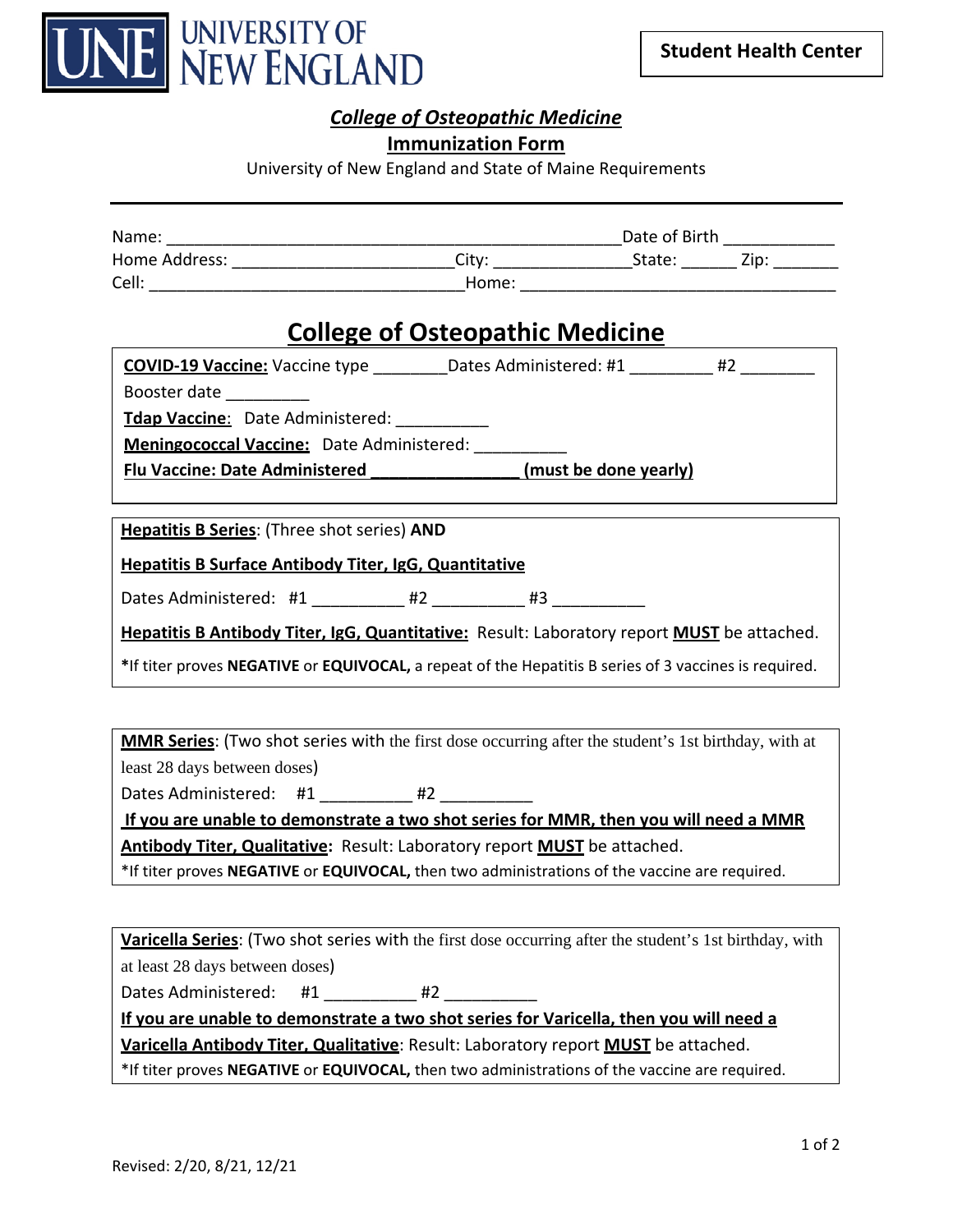

## *College of Osteopathic Medicine*

#### **Immunization Form**

University of New England and State of Maine Requirements

| Name:         |       |        | Date of Birth |  |
|---------------|-------|--------|---------------|--|
| Home Address: | Citv: | State: | Zip:          |  |
| Cell:         | Home: |        |               |  |

# **College of Osteopathic Medicine**

| <b>COVID-19 Vaccine:</b> Vaccine type            | Dates Administered: #1 | #2 |
|--------------------------------------------------|------------------------|----|
| Booster date                                     |                        |    |
| Tdap Vaccine: Date Administered:                 |                        |    |
| <b>Meningococcal Vaccine:</b> Date Administered: |                        |    |
| <b>Flu Vaccine: Date Administered</b>            | (must be done yearly)  |    |

**Hepatitis B Series**: (Three shot series) **AND**

**Hepatitis B Surface Antibody Titer, IgG, Quantitative**

Dates Administered: #1  $#2$  #3

**Hepatitis B Antibody Titer, IgG, Quantitative:** Result: Laboratory report **MUST** be attached.

**\***If titer proves **NEGATIVE** or **EQUIVOCAL,** a repeat of the Hepatitis B series of 3 vaccines is required.

**MMR Series**: (Two shot series with the first dose occurring after the student's 1st birthday, with at least 28 days between doses)

Dates Administered: #1 \_\_\_\_\_\_\_\_\_ #2 \_\_\_\_\_\_\_\_

**If you are unable to demonstrate a two shot series for MMR, then you will need a MMR Antibody Titer, Qualitative:** Result: Laboratory report **MUST** be attached.

\*If titer proves **NEGATIVE** or **EQUIVOCAL,** then two administrations of the vaccine are required.

**Varicella Series**: (Two shot series with the first dose occurring after the student's 1st birthday, with at least 28 days between doses)

Dates Administered: #1 \_\_\_\_\_\_\_\_\_ #2 \_\_\_\_\_\_\_

**If you are unable to demonstrate a two shot series for Varicella, then you will need a Varicella Antibody Titer, Qualitative**: Result: Laboratory report **MUST** be attached.

\*If titer proves **NEGATIVE** or **EQUIVOCAL,** then two administrations of the vaccine are required.